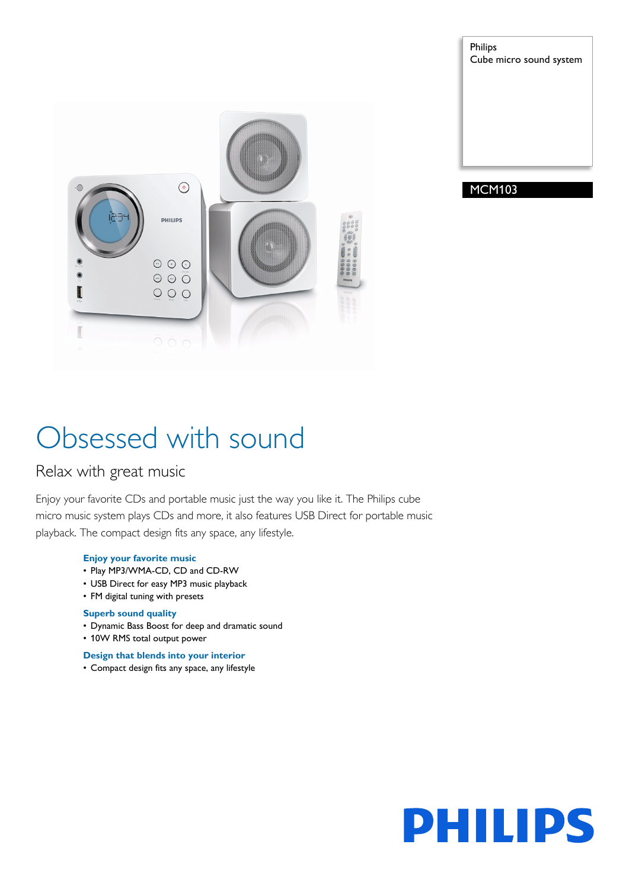

Philips Cube micro sound system

### MCM103

# Obsessed with sound

### Relax with great music

Enjoy your favorite CDs and portable music just the way you like it. The Philips cube micro music system plays CDs and more, it also features USB Direct for portable music playback. The compact design fits any space, any lifestyle.

#### **Enjoy your favorite music**

- Play MP3/WMA-CD, CD and CD-RW
- USB Direct for easy MP3 music playback
- FM digital tuning with presets

#### **Superb sound quality**

- Dynamic Bass Boost for deep and dramatic sound
- 10W RMS total output power

#### **Design that blends into your interior**

• Compact design fits any space, any lifestyle